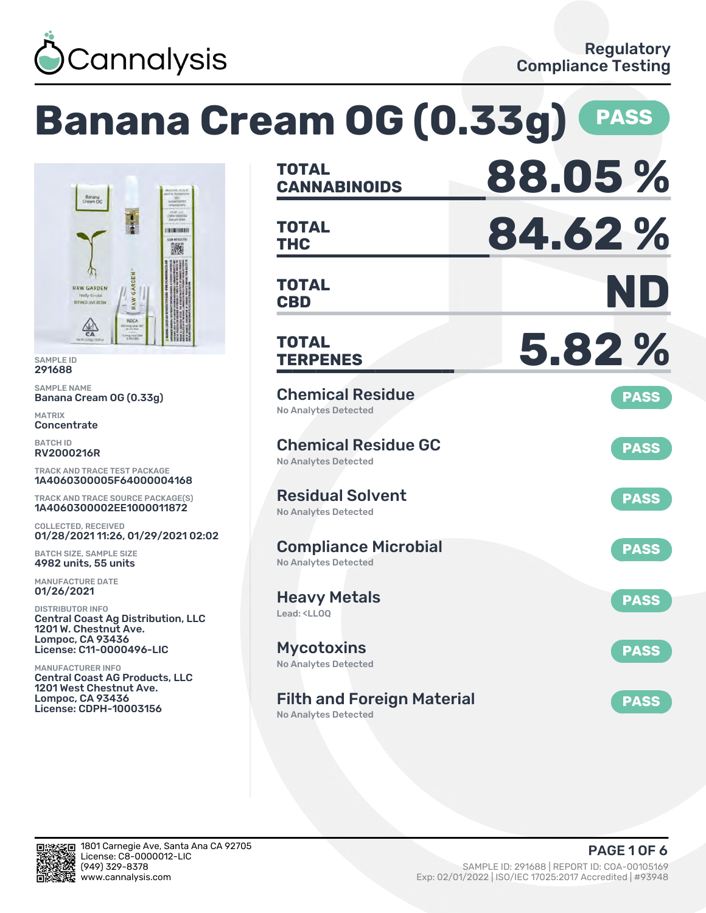

# **Banana Cream OG (0.33g) PASS**



SAMPLE ID 291688

SAMPLE NAME Banana Cream OG (0.33g)

MATRIX **Concentrate** 

BATCH ID RV2000216R

TRACK AND TRACE TEST PACKAGE 1A4060300005F64000004168

TRACK AND TRACE SOURCE PACKAGE(S) 1A4060300002EE1000011872

COLLECTED, RECEIVED 01/28/2021 11:26, 01/29/2021 02:02

BATCH SIZE, SAMPLE SIZE 4982 units, 55 units

MANUFACTURE DATE 01/26/2021

DISTRIBUTOR INFO Central Coast Ag Distribution, LLC 1201 W. Chestnut Ave. Lompoc, CA 93436 License: C11-0000496-LIC

MANUFACTURER INFO Central Coast AG Products, LLC 1201 West Chestnut Ave. Lompoc, CA 93436 License: CDPH-10003156

| <b>TOTAL</b><br><b>CANNABINOIDS</b>                                    | 88.05%      |
|------------------------------------------------------------------------|-------------|
| <b>TOTAL</b><br><b>THC</b>                                             | 84.62%      |
| <b>TOTAL</b><br><b>CBD</b>                                             | ND          |
| TOTAL<br><b>TERPENES</b>                                               | 5.82%       |
| <b>Chemical Residue</b><br><b>No Analytes Detected</b>                 | <b>PASS</b> |
| <b>Chemical Residue GC</b><br><b>No Analytes Detected</b>              | <b>PASS</b> |
| <b>Residual Solvent</b><br><b>No Analytes Detected</b>                 | <b>PASS</b> |
| <b>Compliance Microbial</b><br><b>No Analytes Detected</b>             | <b>PASS</b> |
| <b>Heavy Metals</b><br>Lead: <ll00< td=""><td><b>PASS</b></td></ll00<> | <b>PASS</b> |
| <b>Mycotoxins</b><br>No Analytes Detected                              | <b>PASS</b> |
| <b>Filth and Foreign Material</b><br><b>No Analytes Detected</b>       | <b>PASS</b> |

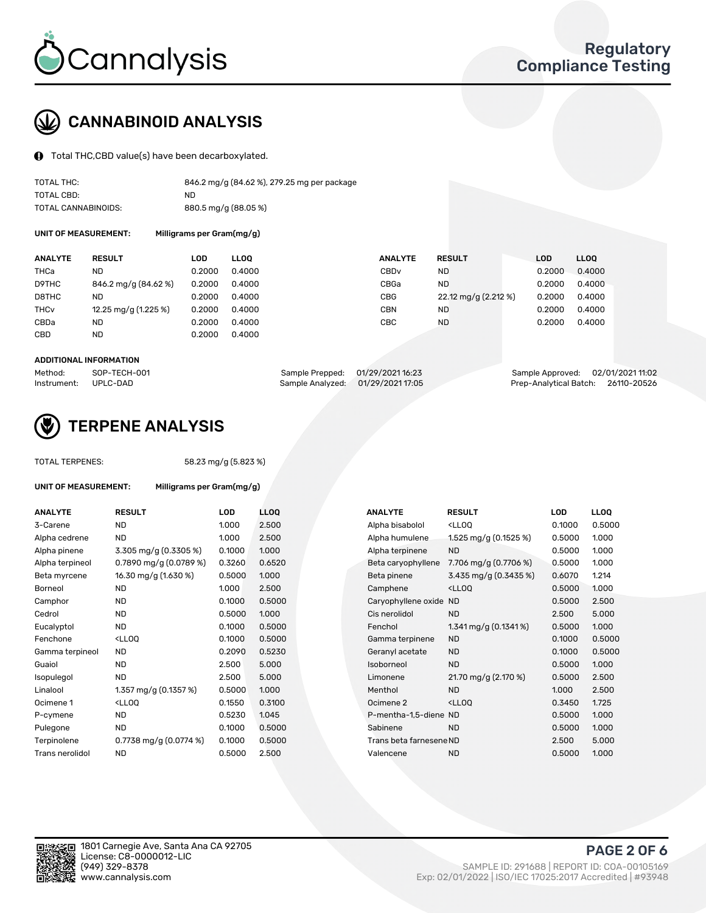

# CANNABINOID ANALYSIS

Total THC,CBD value(s) have been decarboxylated.

| TOTAL THC:          | 846.2 mg/g (84.62 %), 279.25 mg per package |
|---------------------|---------------------------------------------|
| TOTAL CBD:          | ND                                          |
| TOTAL CANNABINOIDS: | 880.5 mg/g (88.05 %)                        |

UNIT OF MEASUREMENT:

| <b>ANALYTE</b>         | <b>RESULT</b>          | <b>LOD</b> | <b>LLOO</b> | <b>ANALYTE</b>   | <b>RESULT</b>        | <b>LOD</b> | <b>LLOO</b> |
|------------------------|------------------------|------------|-------------|------------------|----------------------|------------|-------------|
| THCa                   | <b>ND</b>              | 0.2000     | 0.4000      | CBD <sub>v</sub> | <b>ND</b>            | 0.2000     | 0.4000      |
| D9THC                  | 846.2 mg/g (84.62 %)   | 0.2000     | 0.4000      | CBGa             | <b>ND</b>            | 0.2000     | 0.4000      |
| D8THC                  | <b>ND</b>              | 0.2000     | 0.4000      | <b>CBG</b>       | 22.12 mg/g (2.212 %) | 0.2000     | 0.4000      |
| <b>THC<sub>v</sub></b> | 12.25 mg/g $(1.225\%)$ | 0.2000     | 0.4000      | <b>CBN</b>       | <b>ND</b>            | 0.2000     | 0.4000      |
| CBDa                   | <b>ND</b>              | 0.2000     | 0.4000      | CBC              | <b>ND</b>            | 0.2000     | 0.4000      |
| CBD                    | <b>ND</b>              | 0.2000     | 0.4000      |                  |                      |            |             |
|                        |                        |            |             |                  |                      |            |             |

#### ADDITIONAL INFORMATION

| Method:              | SOP-TECH-001 | Sample Prepped: 01/29/2021 16:23 |                                   | Sample Approved: 02/01/2021 11:02  |  |
|----------------------|--------------|----------------------------------|-----------------------------------|------------------------------------|--|
| Instrument: UPLC-DAD |              |                                  | Sample Analyzed: 01/29/2021 17:05 | Prep-Analytical Batch: 26110-20526 |  |



## TERPENE ANALYSIS

| <b>TOTAL TERPENES:</b> |                                                   | 58.23 mg/g (5.823 %) |                  |  |  |  |  |  |
|------------------------|---------------------------------------------------|----------------------|------------------|--|--|--|--|--|
| UNIT OF MEASUREMENT:   | Milligrams per Gram(mg/g)                         |                      |                  |  |  |  |  |  |
| <b>ANALYTE</b>         | <b>RESULT</b>                                     | LOD                  | LLO <sub>0</sub> |  |  |  |  |  |
| 3-Carene               | <b>ND</b>                                         | 1.000                | 2.50             |  |  |  |  |  |
| Alpha cedrene          | <b>ND</b>                                         | 1.000                | 2.50             |  |  |  |  |  |
| Alpha pinene           | 3.305 mg/g $(0.3305\%)$                           | 0.1000               | 1.000            |  |  |  |  |  |
| Alpha terpineol        | 0.7890 mg/g $(0.0789\%)$                          | 0.3260               | 0.65             |  |  |  |  |  |
| Beta myrcene           | 16.30 mg/g (1.630 %)                              | 0.5000               | 1.000            |  |  |  |  |  |
| Borneol                | <b>ND</b>                                         | 1.000                | 2.50             |  |  |  |  |  |
| Camphor                | <b>ND</b>                                         | 0.1000               | 0.50             |  |  |  |  |  |
| Cedrol                 | <b>ND</b>                                         | 0.5000               | 1.000            |  |  |  |  |  |
| Eucalyptol             | <b>ND</b>                                         | 0.1000               | 0.50             |  |  |  |  |  |
| Fenchone               | <ll00< td=""><td>0.1000</td><td>0.50</td></ll00<> | 0.1000               | 0.50             |  |  |  |  |  |
| Gamma terpineol        | <b>ND</b>                                         | 0.2090               | 0.52             |  |  |  |  |  |
| Guaiol                 | <b>ND</b>                                         | 2.500                | 5.00             |  |  |  |  |  |
| Isopulegol             | <b>ND</b>                                         | 2.500                | 5.00             |  |  |  |  |  |
| Linalool               | 1.357 mg/g $(0.1357%)$                            | 0.5000               | 1.000            |  |  |  |  |  |
| Ocimene 1              | $<$ LLOO                                          | 0.1550               | 0.31             |  |  |  |  |  |
| P-cymene               | <b>ND</b>                                         | 0.5230               | 1.045            |  |  |  |  |  |
| Pulegone               | <b>ND</b>                                         | 0.1000               | 0.50             |  |  |  |  |  |
| Terpinolene            | 0.7738 mg/g (0.0774 %)                            | 0.1000               | 0.50             |  |  |  |  |  |
| Trans nerolidol        | <b>ND</b>                                         | 0.5000               | 2.50             |  |  |  |  |  |
|                        |                                                   |                      |                  |  |  |  |  |  |

| <b>ANALYTE</b>  | <b>RESULT</b>                                                                                                                    | <b>LOD</b> | <b>LLOQ</b> | <b>ANALYTE</b>          | <b>RESULT</b>                                       | <b>LOD</b> | <b>LLOQ</b> |
|-----------------|----------------------------------------------------------------------------------------------------------------------------------|------------|-------------|-------------------------|-----------------------------------------------------|------------|-------------|
| 3-Carene        | <b>ND</b>                                                                                                                        | 1.000      | 2.500       | Alpha bisabolol         | <lloq< td=""><td>0.1000</td><td>0.5000</td></lloq<> | 0.1000     | 0.5000      |
| Alpha cedrene   | <b>ND</b>                                                                                                                        | 1.000      | 2.500       | Alpha humulene          | 1.525 mg/g $(0.1525%)$                              | 0.5000     | 1.000       |
| Alpha pinene    | 3.305 mg/g (0.3305 %)                                                                                                            | 0.1000     | 1.000       | Alpha terpinene         | <b>ND</b>                                           | 0.5000     | 1.000       |
| Alpha terpineol | 0.7890 mg/g (0.0789 %)                                                                                                           | 0.3260     | 0.6520      | Beta caryophyllene      | 7.706 mg/g (0.7706 %)                               | 0.5000     | 1.000       |
| Beta myrcene    | 16.30 mg/g (1.630 %)                                                                                                             | 0.5000     | 1.000       | Beta pinene             | 3.435 mg/g (0.3435 %)                               | 0.6070     | 1.214       |
| Borneol         | <b>ND</b>                                                                                                                        | 1.000      | 2.500       | Camphene                | <lloq< td=""><td>0.5000</td><td>1.000</td></lloq<>  | 0.5000     | 1.000       |
| Camphor         | <b>ND</b>                                                                                                                        | 0.1000     | 0.5000      | Caryophyllene oxide ND  |                                                     | 0.5000     | 2.500       |
| Cedrol          | <b>ND</b>                                                                                                                        | 0.5000     | 1.000       | Cis nerolidol           | <b>ND</b>                                           | 2.500      | 5.000       |
| Eucalyptol      | <b>ND</b>                                                                                                                        | 0.1000     | 0.5000      | Fenchol                 | 1.341 mg/g $(0.1341\%)$                             | 0.5000     | 1.000       |
| Fenchone        | <lloq< td=""><td>0.1000</td><td>0.5000</td><td>Gamma terpinene</td><td><b>ND</b></td><td>0.1000</td><td>0.5000</td></lloq<>      | 0.1000     | 0.5000      | Gamma terpinene         | <b>ND</b>                                           | 0.1000     | 0.5000      |
| Gamma terpineol | <b>ND</b>                                                                                                                        | 0.2090     | 0.5230      | Geranyl acetate         | <b>ND</b>                                           | 0.1000     | 0.5000      |
| Guaiol          | <b>ND</b>                                                                                                                        | 2.500      | 5.000       | Isoborneol              | <b>ND</b>                                           | 0.5000     | 1.000       |
| Isopulegol      | <b>ND</b>                                                                                                                        | 2.500      | 5.000       | Limonene                | 21.70 mg/g (2.170 %)                                | 0.5000     | 2.500       |
| Linalool        | 1.357 mg/g $(0.1357%)$                                                                                                           | 0.5000     | 1.000       | Menthol                 | <b>ND</b>                                           | 1.000      | 2.500       |
| Ocimene 1       | <lloq< td=""><td>0.1550</td><td>0.3100</td><td>Ocimene 2</td><td><ll0q< td=""><td>0.3450</td><td>1.725</td></ll0q<></td></lloq<> | 0.1550     | 0.3100      | Ocimene 2               | <ll0q< td=""><td>0.3450</td><td>1.725</td></ll0q<>  | 0.3450     | 1.725       |
| P-cymene        | <b>ND</b>                                                                                                                        | 0.5230     | 1.045       | P-mentha-1,5-diene ND   |                                                     | 0.5000     | 1.000       |
| Pulegone        | <b>ND</b>                                                                                                                        | 0.1000     | 0.5000      | Sabinene                | <b>ND</b>                                           | 0.5000     | 1.000       |
| Terpinolene     | 0.7738 mg/g $(0.0774\%)$                                                                                                         | 0.1000     | 0.5000      | Trans beta farnesene ND |                                                     | 2.500      | 5.000       |
| Trans nerolidol | <b>ND</b>                                                                                                                        | 0.5000     | 2.500       | Valencene               | <b>ND</b>                                           | 0.5000     | 1.000       |
|                 |                                                                                                                                  |            |             |                         |                                                     |            |             |

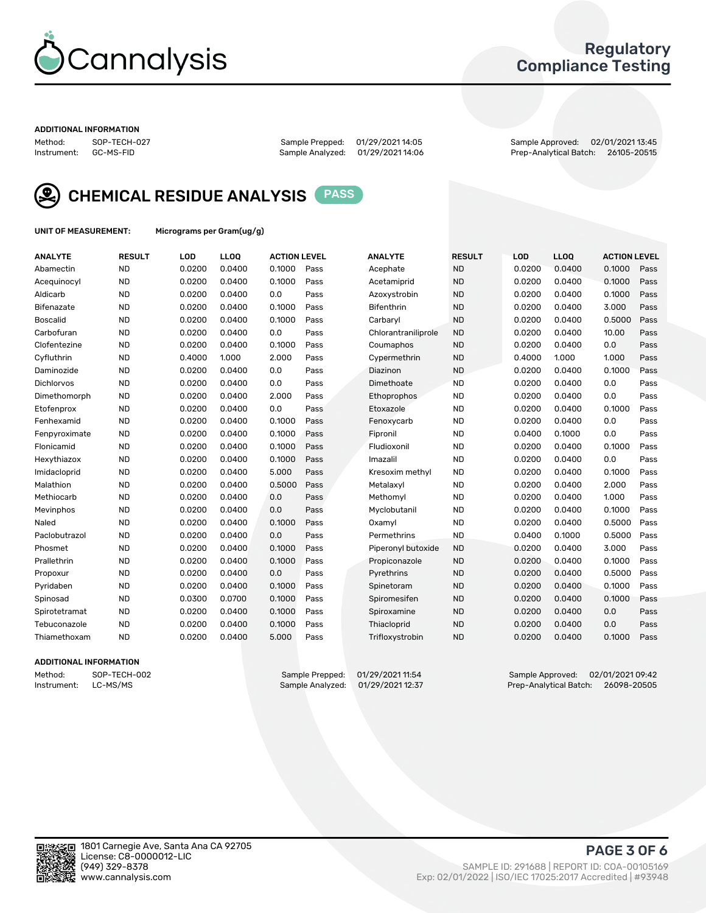

### Regulatory Compliance Testing

#### ADDITIONAL INFORMATION

Sample Analyzed: 01/29/2021 14:06

Method: SOP-TECH-027 Sample Prepped: 01/29/2021 14:05 Sample Approved: 02/01/2021 13:45



CHEMICAL RESIDUE ANALYSIS PASS

UNIT OF MEASUREMENT: Micrograms per Gram(ug/g)

| <b>ANALYTE</b>    | <b>RESULT</b> | LOD    | <b>LLOQ</b> | <b>ACTION LEVEL</b> |      | <b>ANALYTE</b>      | <b>RESULT</b> | LOD    | <b>LLOQ</b> | <b>ACTION LEVEL</b> |      |
|-------------------|---------------|--------|-------------|---------------------|------|---------------------|---------------|--------|-------------|---------------------|------|
| Abamectin         | <b>ND</b>     | 0.0200 | 0.0400      | 0.1000              | Pass | Acephate            | <b>ND</b>     | 0.0200 | 0.0400      | 0.1000              | Pass |
| Acequinocyl       | <b>ND</b>     | 0.0200 | 0.0400      | 0.1000              | Pass | Acetamiprid         | <b>ND</b>     | 0.0200 | 0.0400      | 0.1000              | Pass |
| Aldicarb          | <b>ND</b>     | 0.0200 | 0.0400      | 0.0                 | Pass | Azoxystrobin        | <b>ND</b>     | 0.0200 | 0.0400      | 0.1000              | Pass |
| Bifenazate        | <b>ND</b>     | 0.0200 | 0.0400      | 0.1000              | Pass | <b>Bifenthrin</b>   | <b>ND</b>     | 0.0200 | 0.0400      | 3.000               | Pass |
| <b>Boscalid</b>   | <b>ND</b>     | 0.0200 | 0.0400      | 0.1000              | Pass | Carbarvl            | <b>ND</b>     | 0.0200 | 0.0400      | 0.5000              | Pass |
| Carbofuran        | <b>ND</b>     | 0.0200 | 0.0400      | 0.0                 | Pass | Chlorantraniliprole | <b>ND</b>     | 0.0200 | 0.0400      | 10.00               | Pass |
| Clofentezine      | <b>ND</b>     | 0.0200 | 0.0400      | 0.1000              | Pass | Coumaphos           | <b>ND</b>     | 0.0200 | 0.0400      | 0.0                 | Pass |
| Cyfluthrin        | <b>ND</b>     | 0.4000 | 1.000       | 2.000               | Pass | Cypermethrin        | <b>ND</b>     | 0.4000 | 1.000       | 1.000               | Pass |
| Daminozide        | <b>ND</b>     | 0.0200 | 0.0400      | 0.0                 | Pass | Diazinon            | <b>ND</b>     | 0.0200 | 0.0400      | 0.1000              | Pass |
| <b>Dichlorvos</b> | <b>ND</b>     | 0.0200 | 0.0400      | 0.0                 | Pass | Dimethoate          | <b>ND</b>     | 0.0200 | 0.0400      | 0.0                 | Pass |
| Dimethomorph      | <b>ND</b>     | 0.0200 | 0.0400      | 2.000               | Pass | <b>Ethoprophos</b>  | <b>ND</b>     | 0.0200 | 0.0400      | 0.0                 | Pass |
| Etofenprox        | <b>ND</b>     | 0.0200 | 0.0400      | 0.0                 | Pass | Etoxazole           | <b>ND</b>     | 0.0200 | 0.0400      | 0.1000              | Pass |
| Fenhexamid        | <b>ND</b>     | 0.0200 | 0.0400      | 0.1000              | Pass | Fenoxycarb          | <b>ND</b>     | 0.0200 | 0.0400      | 0.0                 | Pass |
| Fenpyroximate     | <b>ND</b>     | 0.0200 | 0.0400      | 0.1000              | Pass | Fipronil            | <b>ND</b>     | 0.0400 | 0.1000      | 0.0                 | Pass |
| Flonicamid        | <b>ND</b>     | 0.0200 | 0.0400      | 0.1000              | Pass | Fludioxonil         | <b>ND</b>     | 0.0200 | 0.0400      | 0.1000              | Pass |
| Hexythiazox       | <b>ND</b>     | 0.0200 | 0.0400      | 0.1000              | Pass | Imazalil            | <b>ND</b>     | 0.0200 | 0.0400      | 0.0                 | Pass |
| Imidacloprid      | <b>ND</b>     | 0.0200 | 0.0400      | 5.000               | Pass | Kresoxim methyl     | <b>ND</b>     | 0.0200 | 0.0400      | 0.1000              | Pass |
| Malathion         | <b>ND</b>     | 0.0200 | 0.0400      | 0.5000              | Pass | Metalaxyl           | <b>ND</b>     | 0.0200 | 0.0400      | 2.000               | Pass |
| Methiocarb        | <b>ND</b>     | 0.0200 | 0.0400      | 0.0                 | Pass | Methomyl            | <b>ND</b>     | 0.0200 | 0.0400      | 1.000               | Pass |
| Mevinphos         | <b>ND</b>     | 0.0200 | 0.0400      | 0.0                 | Pass | Myclobutanil        | <b>ND</b>     | 0.0200 | 0.0400      | 0.1000              | Pass |
| Naled             | <b>ND</b>     | 0.0200 | 0.0400      | 0.1000              | Pass | Oxamyl              | <b>ND</b>     | 0.0200 | 0.0400      | 0.5000              | Pass |
| Paclobutrazol     | <b>ND</b>     | 0.0200 | 0.0400      | 0.0                 | Pass | Permethrins         | <b>ND</b>     | 0.0400 | 0.1000      | 0.5000              | Pass |
| Phosmet           | <b>ND</b>     | 0.0200 | 0.0400      | 0.1000              | Pass | Piperonyl butoxide  | <b>ND</b>     | 0.0200 | 0.0400      | 3.000               | Pass |
| Prallethrin       | <b>ND</b>     | 0.0200 | 0.0400      | 0.1000              | Pass | Propiconazole       | <b>ND</b>     | 0.0200 | 0.0400      | 0.1000              | Pass |
| Propoxur          | <b>ND</b>     | 0.0200 | 0.0400      | 0.0                 | Pass | Pyrethrins          | <b>ND</b>     | 0.0200 | 0.0400      | 0.5000              | Pass |
| Pyridaben         | <b>ND</b>     | 0.0200 | 0.0400      | 0.1000              | Pass | Spinetoram          | <b>ND</b>     | 0.0200 | 0.0400      | 0.1000              | Pass |
| Spinosad          | <b>ND</b>     | 0.0300 | 0.0700      | 0.1000              | Pass | Spiromesifen        | <b>ND</b>     | 0.0200 | 0.0400      | 0.1000              | Pass |
| Spirotetramat     | <b>ND</b>     | 0.0200 | 0.0400      | 0.1000              | Pass | Spiroxamine         | <b>ND</b>     | 0.0200 | 0.0400      | 0.0                 | Pass |
| Tebuconazole      | <b>ND</b>     | 0.0200 | 0.0400      | 0.1000              | Pass | Thiacloprid         | <b>ND</b>     | 0.0200 | 0.0400      | 0.0                 | Pass |
| Thiamethoxam      | <b>ND</b>     | 0.0200 | 0.0400      | 5.000               | Pass | Trifloxystrobin     | <b>ND</b>     | 0.0200 | 0.0400      | 0.1000              | Pass |
|                   |               |        |             |                     |      |                     |               |        |             |                     |      |

### ADDITIONAL INFORMATION

Method: SOP-TECH-002 Sample Prepped: 01/29/2021 11:54 Sample Approved: 02/01/2021 09:42<br>Instrument: LC-MS/MS Sample Analyzed: 01/29/2021 12:37 Prep-Analytical Batch: 26098-20505 Prep-Analytical Batch: 26098-20505

PAGE 3 OF 6

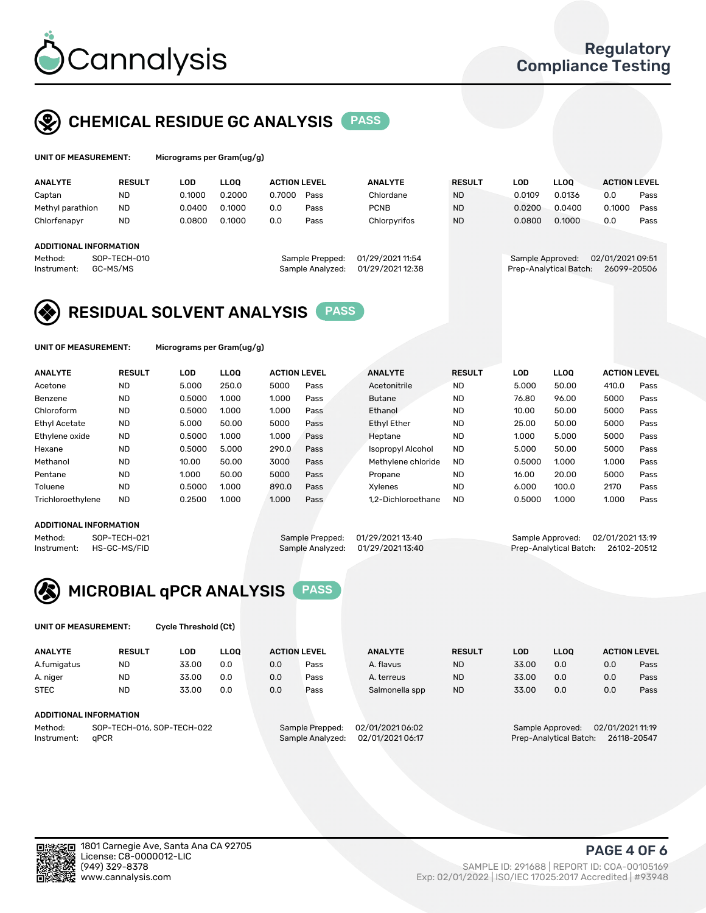

# CHEMICAL RESIDUE GC ANALYSIS PASS

| UNIT OF MEASUREMENT: | Micrograms per |
|----------------------|----------------|
|                      |                |

Gram(ug/g)

| <b>ANALYTE</b>                | <b>RESULT</b>            | LOD    | <b>LLOO</b> | <b>ACTION LEVEL</b> |                                     | <b>ANALYTE</b>                       | <b>RESULT</b> | LOD              | <b>LLOO</b>            | <b>ACTION LEVEL</b>             |      |
|-------------------------------|--------------------------|--------|-------------|---------------------|-------------------------------------|--------------------------------------|---------------|------------------|------------------------|---------------------------------|------|
| Captan                        | <b>ND</b>                | 0.1000 | 0.2000      | 0.7000              | Pass                                | Chlordane                            | <b>ND</b>     | 0.0109           | 0.0136                 | 0.0                             | Pass |
| Methyl parathion              | <b>ND</b>                | 0.0400 | 0.1000      | 0.0                 | Pass                                | <b>PCNB</b>                          | <b>ND</b>     | 0.0200           | 0.0400                 | 0.1000                          | Pass |
| Chlorfenapyr                  | <b>ND</b>                | 0.0800 | 0.1000      | 0.0                 | Pass                                | Chlorpyrifos                         | <b>ND</b>     | 0.0800           | 0.1000                 | 0.0                             | Pass |
|                               |                          |        |             |                     |                                     |                                      |               |                  |                        |                                 |      |
| <b>ADDITIONAL INFORMATION</b> |                          |        |             |                     |                                     |                                      |               |                  |                        |                                 |      |
| Method:<br>Instrument:        | SOP-TECH-010<br>GC-MS/MS |        |             |                     | Sample Prepped:<br>Sample Analyzed: | 01/29/2021 11:54<br>01/29/2021 12:38 |               | Sample Approved: | Prep-Analytical Batch: | 02/01/2021 09:51<br>26099-20506 |      |

# RESIDUAL SOLVENT ANALYSIS PASS

UNIT OF MEASUREMENT: Micrograms per Gram(ug/g)

| <b>ANALYTE</b>       | <b>RESULT</b> | LOD    | <b>LLOO</b> | <b>ACTION LEVEL</b> |      | <b>ANALYTE</b>           | <b>RESULT</b> | LOD    | <b>LLOO</b> | <b>ACTION LEVEL</b> |      |
|----------------------|---------------|--------|-------------|---------------------|------|--------------------------|---------------|--------|-------------|---------------------|------|
| Acetone              | <b>ND</b>     | 5.000  | 250.0       | 5000                | Pass | Acetonitrile             | <b>ND</b>     | 5.000  | 50.00       | 410.0               | Pass |
| Benzene              | <b>ND</b>     | 0.5000 | 1.000       | 1.000               | Pass | <b>Butane</b>            | <b>ND</b>     | 76.80  | 96.00       | 5000                | Pass |
| Chloroform           | <b>ND</b>     | 0.5000 | 1.000       | 1.000               | Pass | Ethanol                  | <b>ND</b>     | 10.00  | 50.00       | 5000                | Pass |
| <b>Ethyl Acetate</b> | <b>ND</b>     | 5.000  | 50.00       | 5000                | Pass | <b>Ethyl Ether</b>       | <b>ND</b>     | 25.00  | 50.00       | 5000                | Pass |
| Ethylene oxide       | <b>ND</b>     | 0.5000 | 1.000       | 1.000               | Pass | Heptane                  | <b>ND</b>     | 1.000  | 5.000       | 5000                | Pass |
| Hexane               | <b>ND</b>     | 0.5000 | 5.000       | 290.0               | Pass | <b>Isopropyl Alcohol</b> | <b>ND</b>     | 5.000  | 50.00       | 5000                | Pass |
| Methanol             | <b>ND</b>     | 10.00  | 50.00       | 3000                | Pass | Methylene chloride       | <b>ND</b>     | 0.5000 | 1.000       | 1.000               | Pass |
| Pentane              | <b>ND</b>     | 1.000  | 50.00       | 5000                | Pass | Propane                  | <b>ND</b>     | 16.00  | 20.00       | 5000                | Pass |
| Toluene              | <b>ND</b>     | 0.5000 | 1.000       | 890.0               | Pass | Xvlenes                  | <b>ND</b>     | 6.000  | 100.0       | 2170                | Pass |
| Trichloroethylene    | <b>ND</b>     | 0.2500 | 1.000       | 1.000               | Pass | 1.2-Dichloroethane       | <b>ND</b>     | 0.5000 | 1.000       | 1.000               | Pass |

#### ADDITIONAL INFORMATION

Method: SOP-TECH-021 Sample Prepped: 01/29/202113:40<br>Instrument: HS-GC-MS/FID Sample Analyzed: 01/29/202113:40 Prep-Analytical Batch: 26102-20512 Prep-Analytical Batch: 26102-20512



UNIT OF MEASUREMENT: Cycle Threshold (Ct)

| <b>ANALYTE</b> | <b>RESULT</b>              | LOD   | <b>LLOO</b> |     | <b>ACTION LEVEL</b> | <b>ANALYTE</b>   | <b>RESULT</b> | LOD   | <b>LLOO</b>      |                  | <b>ACTION LEVEL</b> |
|----------------|----------------------------|-------|-------------|-----|---------------------|------------------|---------------|-------|------------------|------------------|---------------------|
| A.fumigatus    | <b>ND</b>                  | 33.00 | 0.0         | 0.0 | Pass                | A. flavus        | <b>ND</b>     | 33.00 | 0.0              | 0.0              | Pass                |
| A. niger       | <b>ND</b>                  | 33.00 | 0.0         | 0.0 | Pass                | A. terreus       | <b>ND</b>     | 33.00 | 0.0              | 0.0              | Pass                |
| <b>STEC</b>    | <b>ND</b>                  | 33.00 | 0.0         | 0.0 | Pass                | Salmonella spp   | <b>ND</b>     | 33.00 | 0.0              | 0.0              | Pass                |
|                | ADDITIONAL INFORMATION     |       |             |     |                     |                  |               |       |                  |                  |                     |
| Method:        | SOP-TECH-016, SOP-TECH-022 |       |             |     | Sample Prepped:     | 02/01/2021 06:02 |               |       | Sample Approved: | 02/01/2021 11:19 |                     |

Instrument: qPCR Sample Analyzed: 02/01/2021 06:17 Prep-Analytical Batch: 26118-20547

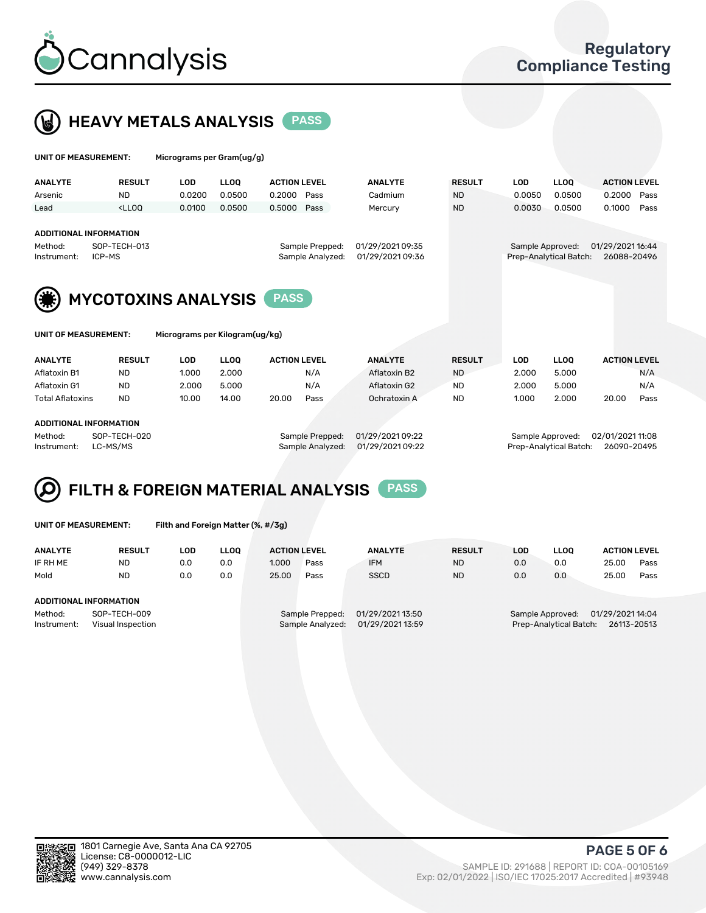



| UNIT OF MEASUREMENT:                                   |                                                                                                                                                                             | Micrograms per Gram(ug/g) |                       |                                     |                                      |                           |                            |                      |                             |                               |      |
|--------------------------------------------------------|-----------------------------------------------------------------------------------------------------------------------------------------------------------------------------|---------------------------|-----------------------|-------------------------------------|--------------------------------------|---------------------------|----------------------------|----------------------|-----------------------------|-------------------------------|------|
| <b>ANALYTE</b><br>Arsenic                              | <b>RESULT</b><br><b>ND</b>                                                                                                                                                  | <b>LOD</b><br>0.0200      | <b>LLOO</b><br>0.0500 | <b>ACTION LEVEL</b><br>0.2000       | Pass                                 | <b>ANALYTE</b><br>Cadmium | <b>RESULT</b><br><b>ND</b> | <b>LOD</b><br>0.0050 | LLOO <sup>1</sup><br>0.0500 | <b>ACTION LEVEL</b><br>0.2000 | Pass |
| Lead                                                   | <lloo< th=""><th>0.0100</th><th>0.0500</th><th>0.5000</th><th>Pass</th><th>Mercury</th><th><b>ND</b></th><th>0.0030</th><th>0.0500</th><th>0.1000</th><th>Pass</th></lloo<> | 0.0100                    | 0.0500                | 0.5000                              | Pass                                 | Mercury                   | <b>ND</b>                  | 0.0030               | 0.0500                      | 0.1000                        | Pass |
| <b>ADDITIONAL INFORMATION</b>                          |                                                                                                                                                                             |                           |                       |                                     |                                      |                           |                            |                      |                             |                               |      |
| Method:                                                | SOP-TECH-013                                                                                                                                                                |                           |                       | Sample Prepped:<br>Sample Analyzed: | 01/29/2021 09:35<br>01/29/2021 09:36 |                           | Sample Approved:           |                      | 01/29/2021 16:44            |                               |      |
| ICP-MS<br>Instrument:                                  |                                                                                                                                                                             |                           |                       |                                     | Prep-Analytical Batch:               | 26088-20496               |                            |                      |                             |                               |      |
| <b>MYCOTOXINS ANALYSIS</b><br><b>PASS</b>              |                                                                                                                                                                             |                           |                       |                                     |                                      |                           |                            |                      |                             |                               |      |
| Micrograms per Kilogram(ug/kg)<br>UNIT OF MEASUREMENT: |                                                                                                                                                                             |                           |                       |                                     |                                      |                           |                            |                      |                             |                               |      |
| <b>AAIAIN/TPP</b>                                      | ------                                                                                                                                                                      | $\sim$                    | $\cdots$              | 1.0710111171171                     |                                      | <b>AAIAIN/TF</b>          | <b>BEAU</b> -              | $\sim$               | $\cdots$                    | 1.0710111171171               |      |

| <b>ANALYTE</b>          | <b>RESULT</b> | LOD   | LOO.  | <b>ACTION LEVEL</b> |      | <b>ANALYTE</b> | <b>RESULT</b> | LOD   | LLOO  | <b>ACTION LEVEL</b> |      |
|-------------------------|---------------|-------|-------|---------------------|------|----------------|---------------|-------|-------|---------------------|------|
| Aflatoxin B1            | ND            | 1.000 | 2.000 |                     | N/A  | Aflatoxin B2   | <b>ND</b>     | 2.000 | 5.000 |                     | N/A  |
| Aflatoxin G1            | ND            | 2.000 | 5.000 |                     | N/A  | Aflatoxin G2   | <b>ND</b>     | 2.000 | 5.000 |                     | N/A  |
| <b>Total Aflatoxins</b> | <b>ND</b>     | 10.00 | 14.00 | 20.00               | Pass | Ochratoxin A   | <b>ND</b>     | 1.000 | 2.000 | 20.00               | Pass |
|                         |               |       |       |                     |      |                |               |       |       |                     |      |
| ADDITIONAL INFORMATION  |               |       |       |                     |      |                |               |       |       |                     |      |

#### ADDITIONAL INFORMATION

Method: SOP-TECH-020 Sample Prepped: 01/29/2021 09:22 Sample Approved: 02/01/2021 11:08 Instrument: LC-MS/MS Sample Analyzed: 01/29/2021 09:22 Prep-Analytical Batch: 26090-20495

#### FILTH & FOREIGN MATERIAL ANALYSIS PASS Q

UNIT OF MEASUREMENT: Filth and Foreign Matter (%, #/3g)

| <b>ANALYTE</b>                                              | <b>RESULT</b>          | LOD | <b>LLOO</b> | <b>ACTION LEVEL</b> |                                     | <b>ANALYTE</b>                       | <b>RESULT</b>                                                                 | LOD | <b>LLOO</b> | <b>ACTION LEVEL</b> |      |
|-------------------------------------------------------------|------------------------|-----|-------------|---------------------|-------------------------------------|--------------------------------------|-------------------------------------------------------------------------------|-----|-------------|---------------------|------|
| IF RH ME                                                    | <b>ND</b>              | 0.0 | 0.0         | 1.000               | Pass                                | <b>IFM</b>                           | <b>ND</b>                                                                     | 0.0 | 0.0         | 25.00               | Pass |
| Mold                                                        | <b>ND</b>              | 0.0 | 0.0         | 25.00               | Pass                                | <b>SSCD</b>                          | <b>ND</b>                                                                     | 0.0 | 0.0         | 25.00               | Pass |
|                                                             | ADDITIONAL INFORMATION |     |             |                     |                                     |                                      |                                                                               |     |             |                     |      |
| Method:<br>SOP-TECH-009<br>Instrument:<br>Visual Inspection |                        |     |             |                     | Sample Prepped:<br>Sample Analyzed: | 01/29/2021 13:50<br>01/29/2021 13:59 | 01/29/2021 14:04<br>Sample Approved:<br>Prep-Analytical Batch:<br>26113-20513 |     |             |                     |      |